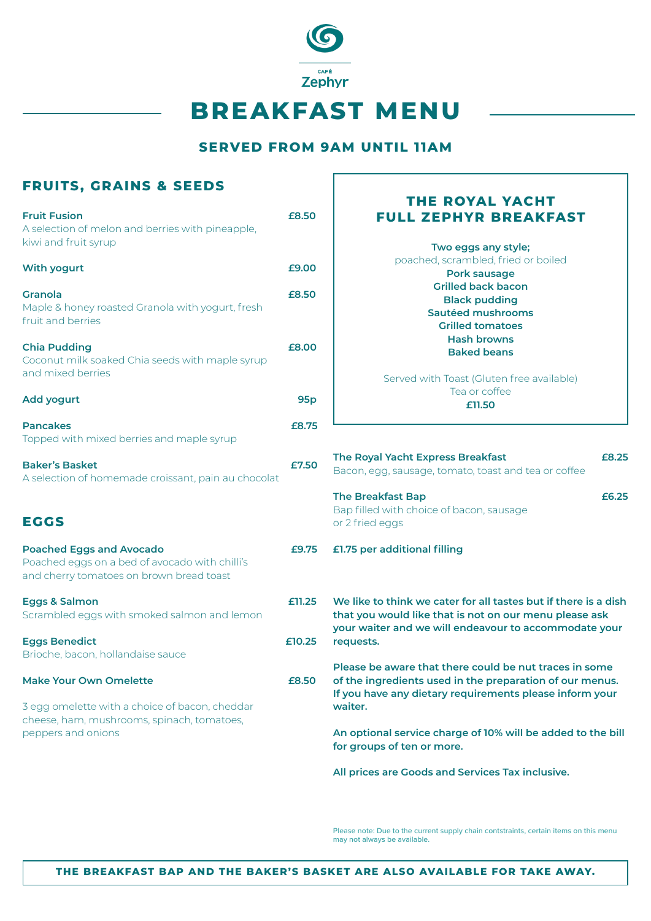

## **SERVED FROM 9AM UNTIL 11AM**

| <b>FRUITS, GRAINS &amp; SEEDS</b>                                                                                                                   |            |                                                                                                                                                                                          |  |
|-----------------------------------------------------------------------------------------------------------------------------------------------------|------------|------------------------------------------------------------------------------------------------------------------------------------------------------------------------------------------|--|
| <b>Fruit Fusion</b><br>A selection of melon and berries with pineapple,                                                                             | £8.50      | <b>THE ROYAL YACHT</b><br><b>FULL ZEPHYR BREAKFAST</b>                                                                                                                                   |  |
| kiwi and fruit syrup<br><b>With yogurt</b>                                                                                                          | £9.00      | Two eggs any style;<br>poached, scrambled, fried or boiled<br><b>Pork sausage</b>                                                                                                        |  |
| <b>Granola</b><br>Maple & honey roasted Granola with yogurt, fresh<br>fruit and berries                                                             | £8.50      | <b>Grilled back bacon</b><br><b>Black pudding</b><br>Sautéed mushrooms<br><b>Grilled tomatoes</b>                                                                                        |  |
| <b>Chia Pudding</b><br>Coconut milk soaked Chia seeds with maple syrup<br>and mixed berries                                                         | £8.00      | <b>Hash browns</b><br><b>Baked beans</b><br>Served with Toast (Gluten free available)                                                                                                    |  |
| <b>Add yogurt</b>                                                                                                                                   | <b>95p</b> | Tea or coffee<br>£11.50                                                                                                                                                                  |  |
| <b>Pancakes</b><br>Topped with mixed berries and maple syrup                                                                                        | £8.75      |                                                                                                                                                                                          |  |
| <b>Baker's Basket</b><br>A selection of homemade croissant, pain au chocolat                                                                        | £7.50      | The Royal Yacht Express Breakfast<br>£8.25<br>Bacon, egg, sausage, tomato, toast and tea or coffee                                                                                       |  |
| <b>EGGS</b>                                                                                                                                         |            | <b>The Breakfast Bap</b><br>£6.25<br>Bap filled with choice of bacon, sausage<br>or 2 fried eggs                                                                                         |  |
| <b>Poached Eggs and Avocado</b><br>Poached eggs on a bed of avocado with chilli's<br>and cherry tomatoes on brown bread toast                       | £9.75      | £1.75 per additional filling                                                                                                                                                             |  |
| <b>Eggs &amp; Salmon</b><br>Scrambled eggs with smoked salmon and lemon                                                                             | £11.25     | We like to think we cater for all tastes but if there is a dish<br>that you would like that is not on our menu please ask<br>your waiter and we will endeavour to accommodate your       |  |
| <b>Eggs Benedict</b><br>Brioche, bacon, hollandaise sauce                                                                                           | £10.25     | requests.                                                                                                                                                                                |  |
| <b>Make Your Own Omelette</b><br>3 egg omelette with a choice of bacon, cheddar<br>cheese, ham, mushrooms, spinach, tomatoes,<br>peppers and onions | £8.50      | Please be aware that there could be nut traces in some<br>of the ingredients used in the preparation of our menus.<br>If you have any dietary requirements please inform your<br>waiter. |  |
|                                                                                                                                                     |            | An optional service charge of 10% will be added to the bill<br>for groups of ten or more.                                                                                                |  |
|                                                                                                                                                     |            | All prices are Goods and Services Tax inclusive.                                                                                                                                         |  |

Please note: Due to the current supply chain contstraints, certain items on this menu may not always be available.